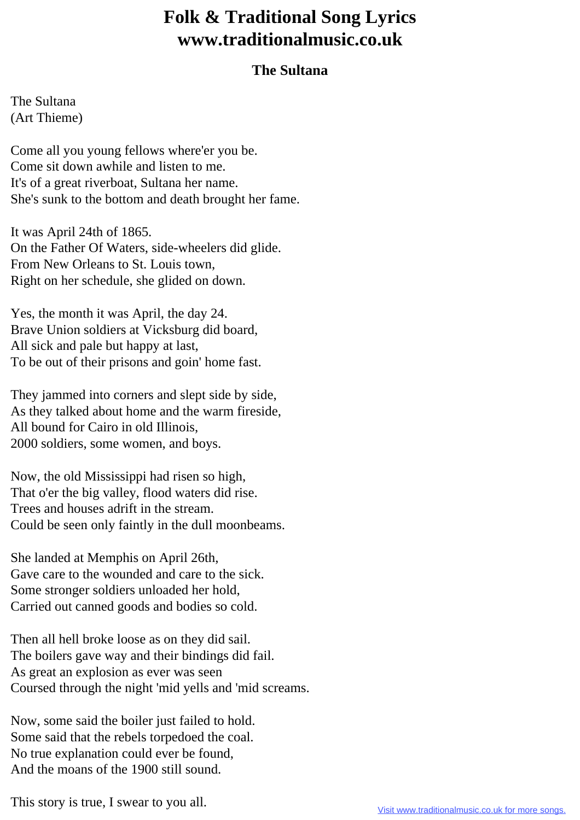## **Folk & Traditional Song Lyrics www.traditionalmusic.co.uk**

## **The Sultana**

The Sultana (Art Thieme)

Come all you young fellows where'er you be. Come sit down awhile and listen to me. It's of a great riverboat, Sultana her name. She's sunk to the bottom and death brought her fame.

It was April 24th of 1865. On the Father Of Waters, side-wheelers did glide. From New Orleans to St. Louis town, Right on her schedule, she glided on down.

Yes, the month it was April, the day 24. Brave Union soldiers at Vicksburg did board, All sick and pale but happy at last, To be out of their prisons and goin' home fast.

They jammed into corners and slept side by side, As they talked about home and the warm fireside, All bound for Cairo in old Illinois, 2000 soldiers, some women, and boys.

Now, the old Mississippi had risen so high, That o'er the big valley, flood waters did rise. Trees and houses adrift in the stream. Could be seen only faintly in the dull moonbeams.

She landed at Memphis on April 26th, Gave care to the wounded and care to the sick. Some stronger soldiers unloaded her hold, Carried out canned goods and bodies so cold.

Then all hell broke loose as on they did sail. The boilers gave way and their bindings did fail. As great an explosion as ever was seen Coursed through the night 'mid yells and 'mid screams.

Now, some said the boiler just failed to hold. Some said that the rebels torpedoed the coal. No true explanation could ever be found, And the moans of the 1900 still sound.

This story is true, I swear to you all.